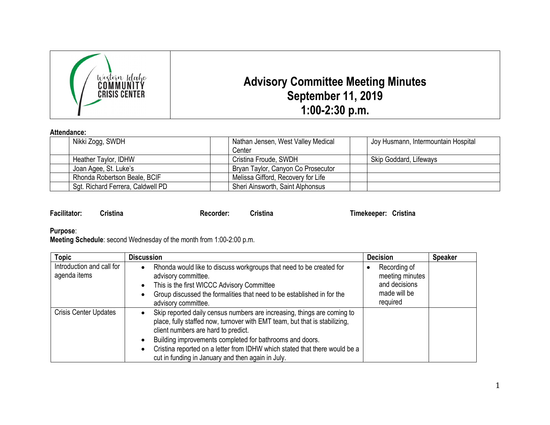

## **Attendance:**

| Nikki Zogg, SWDH                  |  | Nathan Jensen, West Valley Medical |  | Joy Husmann, Intermountain Hospital |  |
|-----------------------------------|--|------------------------------------|--|-------------------------------------|--|
|                                   |  | Center                             |  |                                     |  |
| Heather Taylor, IDHW              |  | Cristina Froude, SWDH              |  | Skip Goddard, Lifeways              |  |
| Joan Agee, St. Luke's             |  | Bryan Taylor, Canyon Co Prosecutor |  |                                     |  |
| Rhonda Robertson Beale, BCIF      |  | Melissa Gifford, Recovery for Life |  |                                     |  |
| Sgt. Richard Ferrera, Caldwell PD |  | Sheri Ainsworth, Saint Alphonsus   |  |                                     |  |

| <b>Facilitator:</b> | Cristina | Recorder: | Cristina | Timekeeper: Cristina |  |
|---------------------|----------|-----------|----------|----------------------|--|
|                     |          |           |          |                      |  |

## **Purpose**:

**Meeting Schedule**: second Wednesday of the month from 1:00-2:00 p.m.

| <b>Topic</b>                              | <b>Discussion</b>                                                                                                                                                                                                                                                                                                                                                                           | <b>Decision</b>                                                              | <b>Speaker</b> |
|-------------------------------------------|---------------------------------------------------------------------------------------------------------------------------------------------------------------------------------------------------------------------------------------------------------------------------------------------------------------------------------------------------------------------------------------------|------------------------------------------------------------------------------|----------------|
| Introduction and call for<br>agenda items | Rhonda would like to discuss workgroups that need to be created for<br>advisory committee.<br>This is the first WICCC Advisory Committee<br>Group discussed the formalities that need to be established in for the<br>advisory committee.                                                                                                                                                   | Recording of<br>meeting minutes<br>and decisions<br>made will be<br>required |                |
| <b>Crisis Center Updates</b>              | Skip reported daily census numbers are increasing, things are coming to<br>place, fully staffed now, turnover with EMT team, but that is stabilizing,<br>client numbers are hard to predict.<br>Building improvements completed for bathrooms and doors.<br>Cristina reported on a letter from IDHW which stated that there would be a<br>cut in funding in January and then again in July. |                                                                              |                |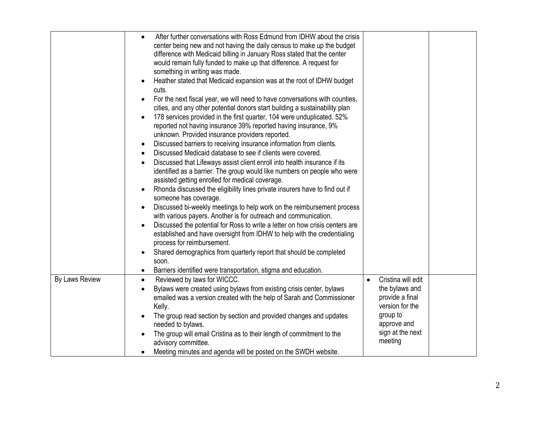|                | After further conversations with Ross Edmund from IDHW about the crisis<br>center being new and not having the daily census to make up the budget<br>difference with Medicaid billing in January Ross stated that the center<br>would remain fully funded to make up that difference. A request for<br>something in writing was made.<br>Heather stated that Medicaid expansion was at the root of IDHW budget<br>cuts.<br>For the next fiscal year, we will need to have conversations with counties,<br>cities, and any other potential donors start building a sustainability plan<br>178 services provided in the first quarter, 104 were unduplicated. 52%<br>reported not having insurance 39% reported having insurance, 9%<br>unknown. Provided insurance providers reported.<br>Discussed barriers to receiving insurance information from clients.<br>Discussed Medicaid database to see if clients were covered.<br>Discussed that Lifeways assist client enroll into health insurance if its<br>identified as a barrier. The group would like numbers on people who were<br>assisted getting enrolled for medical coverage.<br>Rhonda discussed the eligibility lines private insurers have to find out if<br>someone has coverage.<br>Discussed bi-weekly meetings to help work on the reimbursement process<br>with various payers. Another is for outreach and communication.<br>Discussed the potential for Ross to write a letter on how crisis centers are<br>established and have oversight from IDHW to help with the credentialing<br>process for reimbursement.<br>Shared demographics from quarterly report that should be completed<br>soon.<br>Barriers identified were transportation, stigma and education.<br>$\bullet$ |                                    |  |
|----------------|-----------------------------------------------------------------------------------------------------------------------------------------------------------------------------------------------------------------------------------------------------------------------------------------------------------------------------------------------------------------------------------------------------------------------------------------------------------------------------------------------------------------------------------------------------------------------------------------------------------------------------------------------------------------------------------------------------------------------------------------------------------------------------------------------------------------------------------------------------------------------------------------------------------------------------------------------------------------------------------------------------------------------------------------------------------------------------------------------------------------------------------------------------------------------------------------------------------------------------------------------------------------------------------------------------------------------------------------------------------------------------------------------------------------------------------------------------------------------------------------------------------------------------------------------------------------------------------------------------------------------------------------------------------------------------------------------------------------------------------------------------|------------------------------------|--|
| By Laws Review | Reviewed by laws for WICCC.<br>$\bullet$                                                                                                                                                                                                                                                                                                                                                                                                                                                                                                                                                                                                                                                                                                                                                                                                                                                                                                                                                                                                                                                                                                                                                                                                                                                                                                                                                                                                                                                                                                                                                                                                                                                                                                            | Cristina will edit<br>$\bullet$    |  |
|                | Bylaws were created using bylaws from existing crisis center, bylaws                                                                                                                                                                                                                                                                                                                                                                                                                                                                                                                                                                                                                                                                                                                                                                                                                                                                                                                                                                                                                                                                                                                                                                                                                                                                                                                                                                                                                                                                                                                                                                                                                                                                                | the bylaws and                     |  |
|                | emailed was a version created with the help of Sarah and Commissioner<br>Kelly.                                                                                                                                                                                                                                                                                                                                                                                                                                                                                                                                                                                                                                                                                                                                                                                                                                                                                                                                                                                                                                                                                                                                                                                                                                                                                                                                                                                                                                                                                                                                                                                                                                                                     | provide a final<br>version for the |  |
|                | The group read section by section and provided changes and updates<br>needed to bylaws.                                                                                                                                                                                                                                                                                                                                                                                                                                                                                                                                                                                                                                                                                                                                                                                                                                                                                                                                                                                                                                                                                                                                                                                                                                                                                                                                                                                                                                                                                                                                                                                                                                                             | group to<br>approve and            |  |
|                | The group will email Cristina as to their length of commitment to the<br>advisory committee.                                                                                                                                                                                                                                                                                                                                                                                                                                                                                                                                                                                                                                                                                                                                                                                                                                                                                                                                                                                                                                                                                                                                                                                                                                                                                                                                                                                                                                                                                                                                                                                                                                                        | sign at the next<br>meeting        |  |
|                | Meeting minutes and agenda will be posted on the SWDH website.                                                                                                                                                                                                                                                                                                                                                                                                                                                                                                                                                                                                                                                                                                                                                                                                                                                                                                                                                                                                                                                                                                                                                                                                                                                                                                                                                                                                                                                                                                                                                                                                                                                                                      |                                    |  |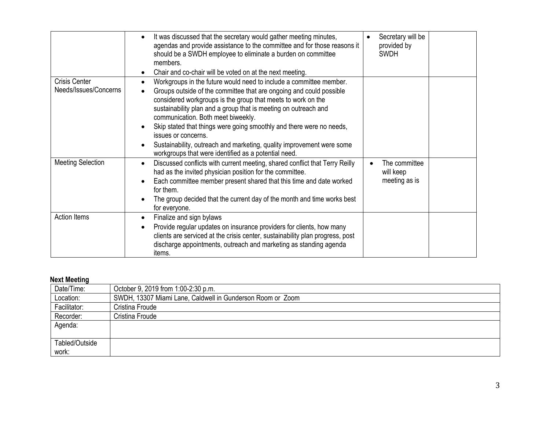|                                               | It was discussed that the secretary would gather meeting minutes,<br>agendas and provide assistance to the committee and for those reasons it<br>should be a SWDH employee to eliminate a burden on committee<br>members.<br>Chair and co-chair will be voted on at the next meeting.                                                                                                                                                                                                                                                              | Secretary will be<br>provided by<br><b>SWDH</b> |
|-----------------------------------------------|----------------------------------------------------------------------------------------------------------------------------------------------------------------------------------------------------------------------------------------------------------------------------------------------------------------------------------------------------------------------------------------------------------------------------------------------------------------------------------------------------------------------------------------------------|-------------------------------------------------|
| <b>Crisis Center</b><br>Needs/Issues/Concerns | Workgroups in the future would need to include a committee member.<br>Groups outside of the committee that are ongoing and could possible<br>considered workgroups is the group that meets to work on the<br>sustainability plan and a group that is meeting on outreach and<br>communication. Both meet biweekly.<br>Skip stated that things were going smoothly and there were no needs,<br>issues or concerns.<br>Sustainability, outreach and marketing, quality improvement were some<br>workgroups that were identified as a potential need. |                                                 |
| <b>Meeting Selection</b>                      | Discussed conflicts with current meeting, shared conflict that Terry Reilly<br>$\bullet$<br>had as the invited physician position for the committee.<br>Each committee member present shared that this time and date worked<br>for them.<br>The group decided that the current day of the month and time works best<br>for everyone.                                                                                                                                                                                                               | The committee<br>will keep<br>meeting as is     |
| Action Items                                  | Finalize and sign bylaws<br>$\bullet$<br>Provide regular updates on insurance providers for clients, how many<br>clients are serviced at the crisis center, sustainability plan progress, post<br>discharge appointments, outreach and marketing as standing agenda<br>items.                                                                                                                                                                                                                                                                      |                                                 |

## **Next Meeting**

| Date/Time:     | October 9, 2019 from 1:00-2:30 p.m.                        |
|----------------|------------------------------------------------------------|
| Location:      | SWDH, 13307 Miami Lane, Caldwell in Gunderson Room or Zoom |
| Facilitator:   | Cristina Froude                                            |
| Recorder:      | Cristina Froude                                            |
| Agenda:        |                                                            |
|                |                                                            |
| Tabled/Outside |                                                            |
| work:          |                                                            |